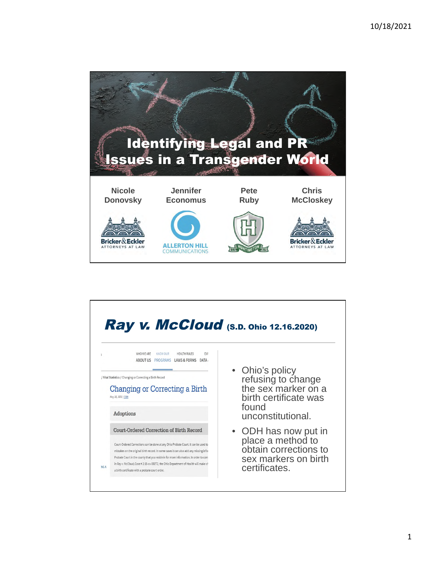

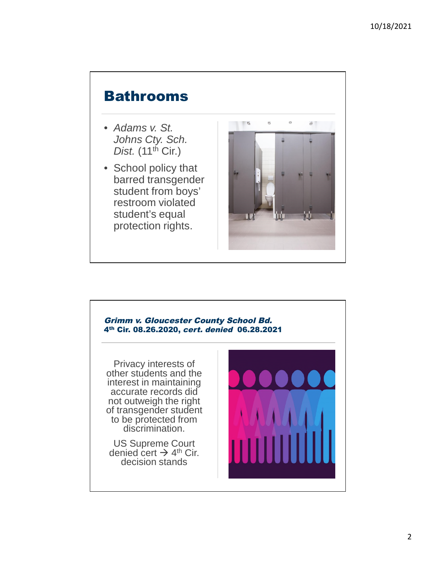## Bathrooms

- *Adams v. St. Johns Cty. Sch. Dist.* (11<sup>th</sup> Cir.)
- School policy that barred transgender student from boys' restroom violated student's equal protection rights.



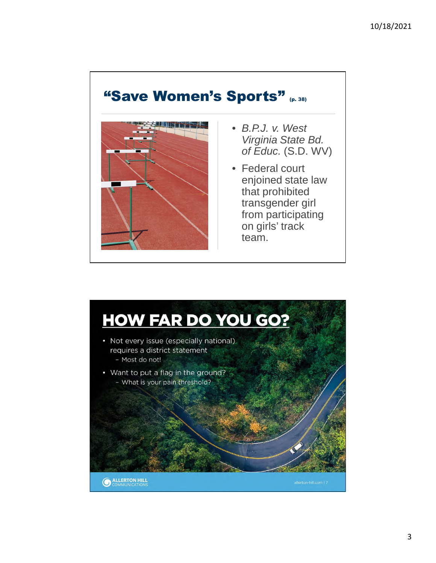### "Save Women's Sports" (p. 38)



- *B.P.J. v. West Virginia State Bd. of Educ.* (S.D. WV)
- Federal court enjoined state law that prohibited transgender girl from participating on girls' track team.

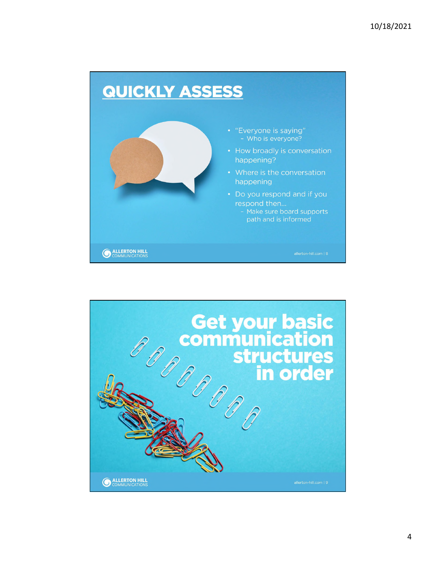

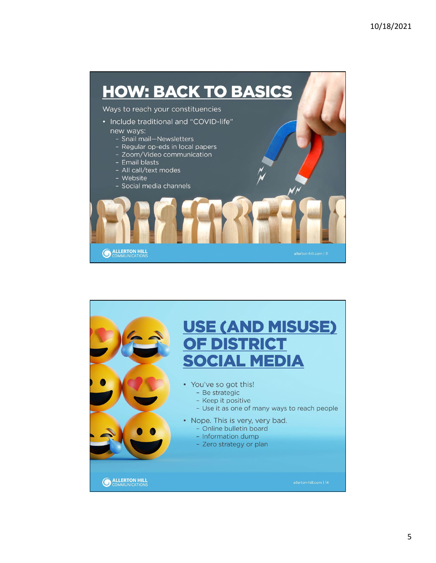

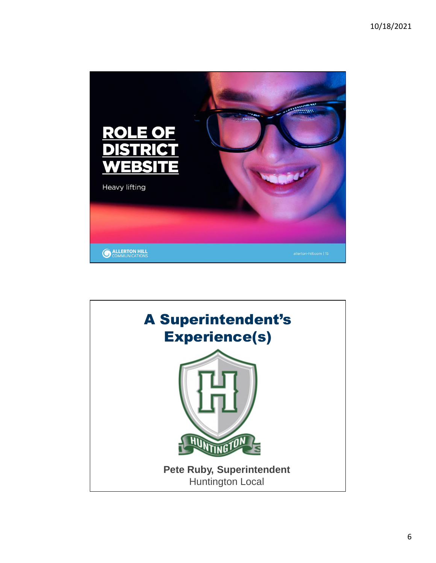

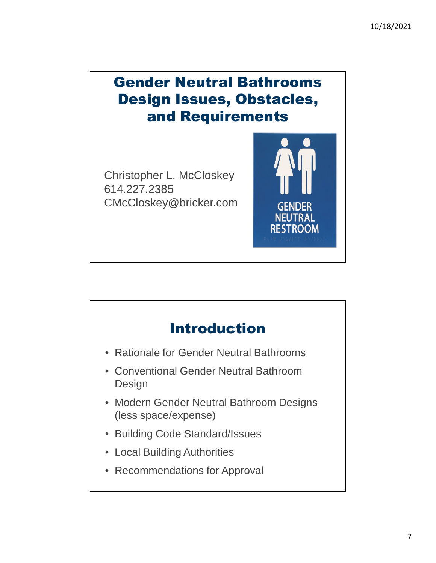# Gender Neutral Bathrooms Design Issues, Obstacles, and Requirements

**GENDER NEUTRAL RESTROOM** 

Christopher L. McCloskey 614.227.2385 CMcCloskey@bricker.com

# Introduction

- Rationale for Gender Neutral Bathrooms
- Conventional Gender Neutral Bathroom Design
- Modern Gender Neutral Bathroom Designs (less space/expense)
- Building Code Standard/Issues
- Local Building Authorities
- Recommendations for Approval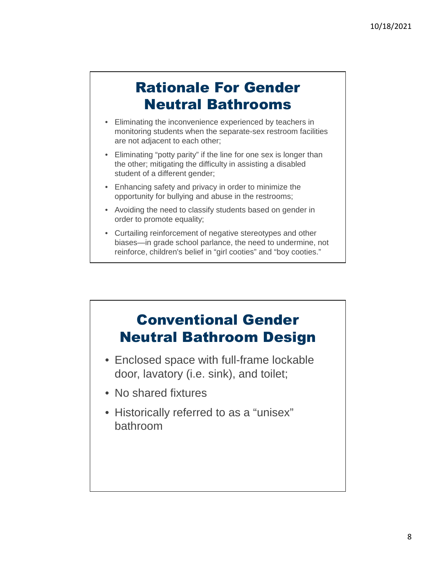## Rationale For Gender Neutral Bathrooms

- Eliminating the inconvenience experienced by teachers in monitoring students when the separate-sex restroom facilities are not adjacent to each other;
- Eliminating "potty parity" if the line for one sex is longer than the other; mitigating the difficulty in assisting a disabled student of a different gender;
- Enhancing safety and privacy in order to minimize the opportunity for bullying and abuse in the restrooms;
- Avoiding the need to classify students based on gender in order to promote equality;
- Curtailing reinforcement of negative stereotypes and other biases—in grade school parlance, the need to undermine, not reinforce, children's belief in "girl cooties" and "boy cooties."



- Enclosed space with full-frame lockable door, lavatory (i.e. sink), and toilet;
- No shared fixtures
- Historically referred to as a "unisex" bathroom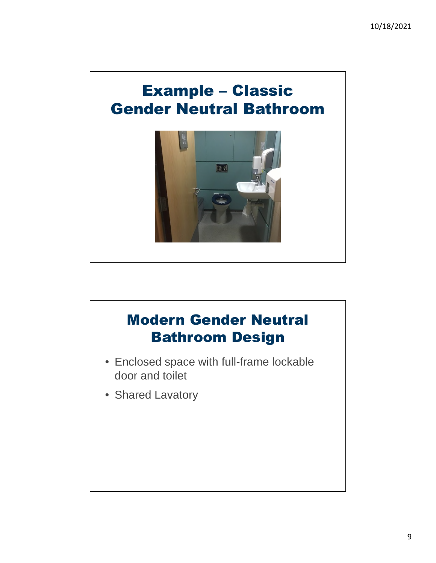

# Modern Gender Neutral Bathroom Design • Enclosed space with full-frame lockable door and toilet • Shared Lavatory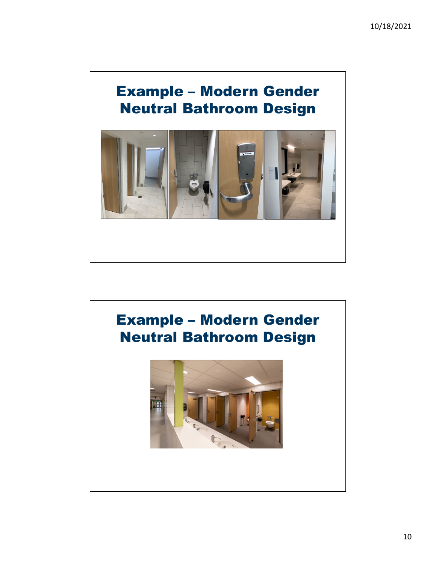# Example – Modern Gender Neutral Bathroom Design



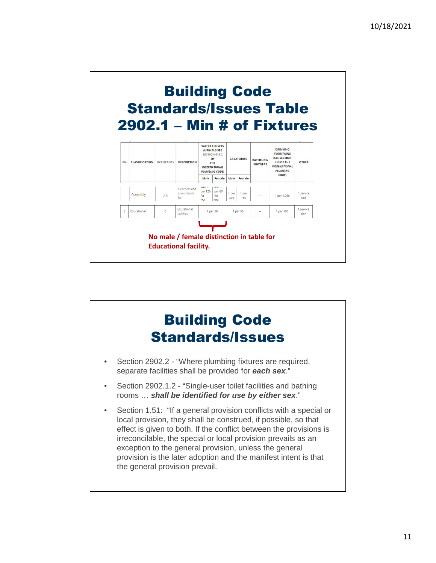

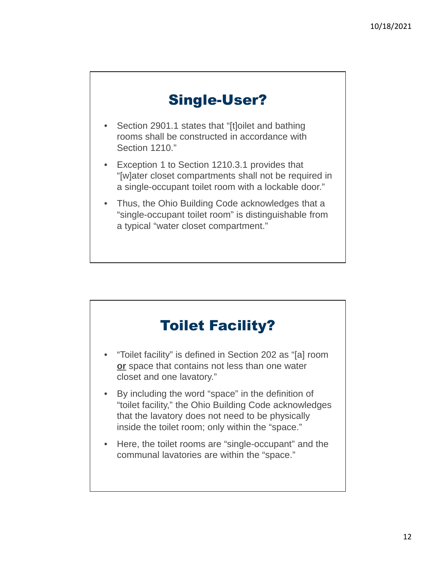### Single-User?

- Section 2901.1 states that "[t]oilet and bathing rooms shall be constructed in accordance with Section 1210."
- Exception 1 to Section 1210.3.1 provides that "[w]ater closet compartments shall not be required in a single-occupant toilet room with a lockable door."
- Thus, the Ohio Building Code acknowledges that a "single-occupant toilet room" is distinguishable from a typical "water closet compartment."

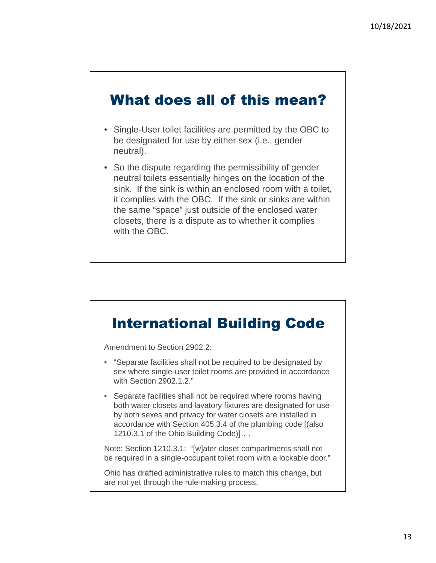#### What does all of this mean?

- Single-User toilet facilities are permitted by the OBC to be designated for use by either sex (i.e., gender neutral).
- So the dispute regarding the permissibility of gender neutral toilets essentially hinges on the location of the sink. If the sink is within an enclosed room with a toilet, it complies with the OBC. If the sink or sinks are within the same "space" just outside of the enclosed water closets, there is a dispute as to whether it complies with the OBC.

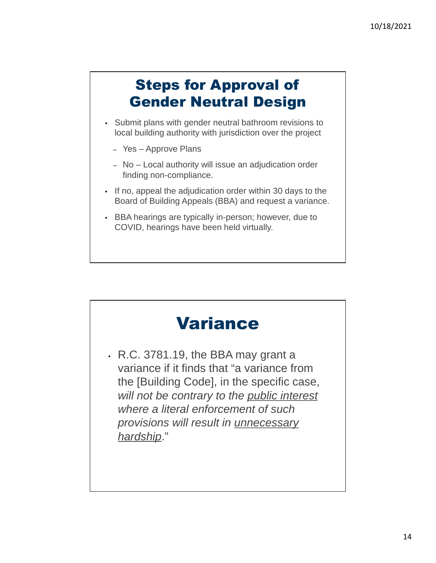# Steps for Approval of Gender Neutral Design

- Submit plans with gender neutral bathroom revisions to local building authority with jurisdiction over the project
	- Yes Approve Plans
	- No Local authority will issue an adjudication order finding non-compliance.
- If no, appeal the adjudication order within 30 days to the Board of Building Appeals (BBA) and request a variance.
- BBA hearings are typically in-person; however, due to COVID, hearings have been held virtually.